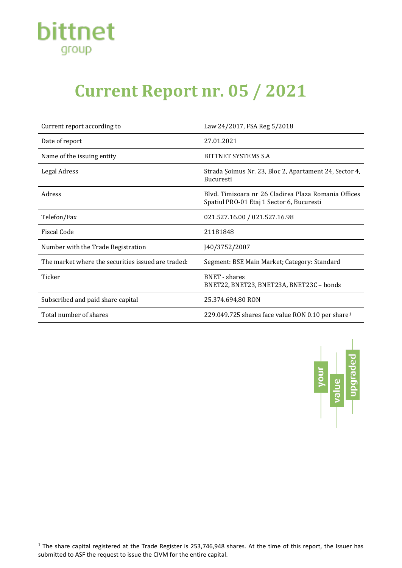

## **Current Report nr. 05 / 2021**

| Current report according to                        | Law 24/2017, FSA Reg 5/2018                                                                       |
|----------------------------------------------------|---------------------------------------------------------------------------------------------------|
| Date of report                                     | 27.01.2021                                                                                        |
| Name of the issuing entity                         | BITTNET SYSTEMS S.A                                                                               |
| Legal Adress                                       | Strada Şoimus Nr. 23, Bloc 2, Apartament 24, Sector 4,<br><b>Bucuresti</b>                        |
| Adress                                             | Blyd. Timisoara nr 26 Cladirea Plaza Romania Offices<br>Spatiul PRO-01 Etaj 1 Sector 6, Bucuresti |
| Telefon/Fax                                        | 021.527.16.00 / 021.527.16.98                                                                     |
| <b>Fiscal Code</b>                                 | 21181848                                                                                          |
| Number with the Trade Registration                 | J40/3752/2007                                                                                     |
| The market where the securities issued are traded: | Segment: BSE Main Market; Category: Standard                                                      |
| Ticker                                             | <b>BNET</b> - shares<br>BNET22, BNET23, BNET23A, BNET23C - bonds                                  |
| Subscribed and paid share capital                  | 25.374.694.80 RON                                                                                 |
| Total number of shares                             | 229.049.725 shares face value RON 0.10 per share <sup>1</sup>                                     |



<span id="page-0-0"></span> $1$  The share capital registered at the Trade Register is 253,746,948 shares. At the time of this report, the Issuer has submitted to ASF the request to issue the CIVM for the entire capital.